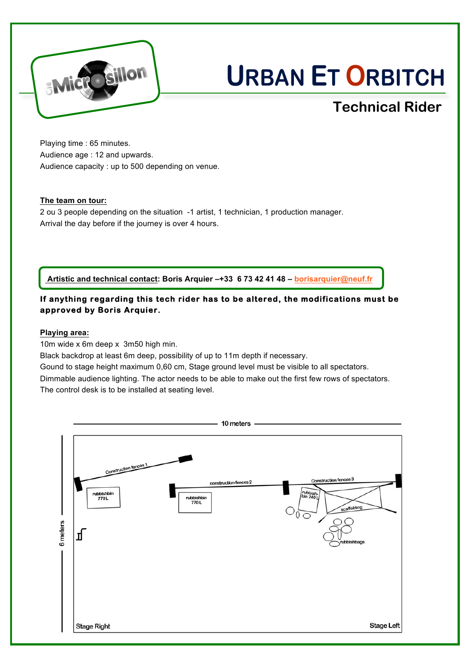

# **URBAN ET ORBITCH**

## **Technical Rider**

Playing time : 65 minutes. Audience age : 12 and upwards. Audience capacity : up to 500 depending on venue.

#### **The team on tour:**

2 ou 3 people depending on the situation -1 artist, 1 technician, 1 production manager. Arrival the day before if the journey is over 4 hours.

**Artistic and technical contact: Boris Arquier –+33 6 73 42 41 48 – borisarquier@neuf.fr**

### **If anything regarding this tech rider has to be altered, the modifications must be approved by Boris Arquier.**

#### **Playing area:**

10m wide x 6m deep x 3m50 high min.

Black backdrop at least 6m deep, possibility of up to 11m depth if necessary.

Gound to stage height maximum 0,60 cm, Stage ground level must be visible to all spectators. Dimmable audience lighting. The actor needs to be able to make out the first few rows of spectators. The control desk is to be installed at seating level.

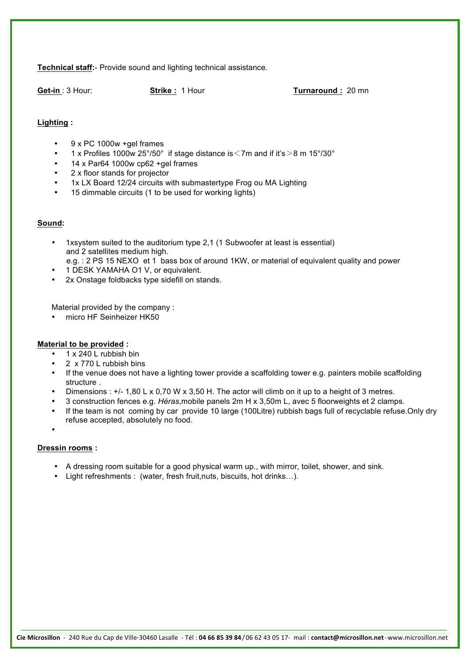**Technical staff:**- Provide sound and lighting technical assistance.

**Get-in** : 3 Hour: **Strike :** 1 Hour **Turnaround :** 20 mn

#### **Lighting :**

- 9 x PC 1000w +gel frames
- 1 x Profiles 1000w 25°/50° if stage distance is  $\leq$ 7m and if it's  $>$ 8 m 15°/30°
- 14 x Par64 1000w cp62 +gel frames
- 2 x floor stands for projector
- 1x LX Board 12/24 circuits with submastertype Frog ou MA Lighting
- 15 dimmable circuits (1 to be used for working lights)

#### **Sound:**

- 1xsystem suited to the auditorium type 2,1 (1 Subwoofer at least is essential) and 2 satellites medium high.
- e.g. : 2 PS 15 NEXO et 1 bass box of around 1KW, or material of equivalent quality and power
- 1 DESK YAMAHA O1 V, or equivalent.
- 2x Onstage foldbacks type sidefill on stands.

Material provided by the company :

• micro HF Seinheizer HK50

#### **Material to be provided :**

- 1 x 240 L rubbish bin
- 2 x 770 L rubbish bins
- If the venue does not have a lighting tower provide a scaffolding tower e.g. painters mobile scaffolding structure .
- Dimensions : +/- 1,80 L x 0,70 W x 3,50 H. The actor will climb on it up to a height of 3 metres.
- 3 construction fences e.g. *Héras*,mobile panels 2m H x 3,50m L, avec 5 floorweights et 2 clamps.
- If the team is not coming by car provide 10 large (100Litre) rubbish bags full of recyclable refuse.Only dry refuse accepted, absolutely no food.
- •

#### **Dressin rooms :**

- A dressing room suitable for a good physical warm up., with mirror, toilet, shower, and sink.
- Light refreshments : (water, fresh fruit,nuts, biscuits, hot drinks…).